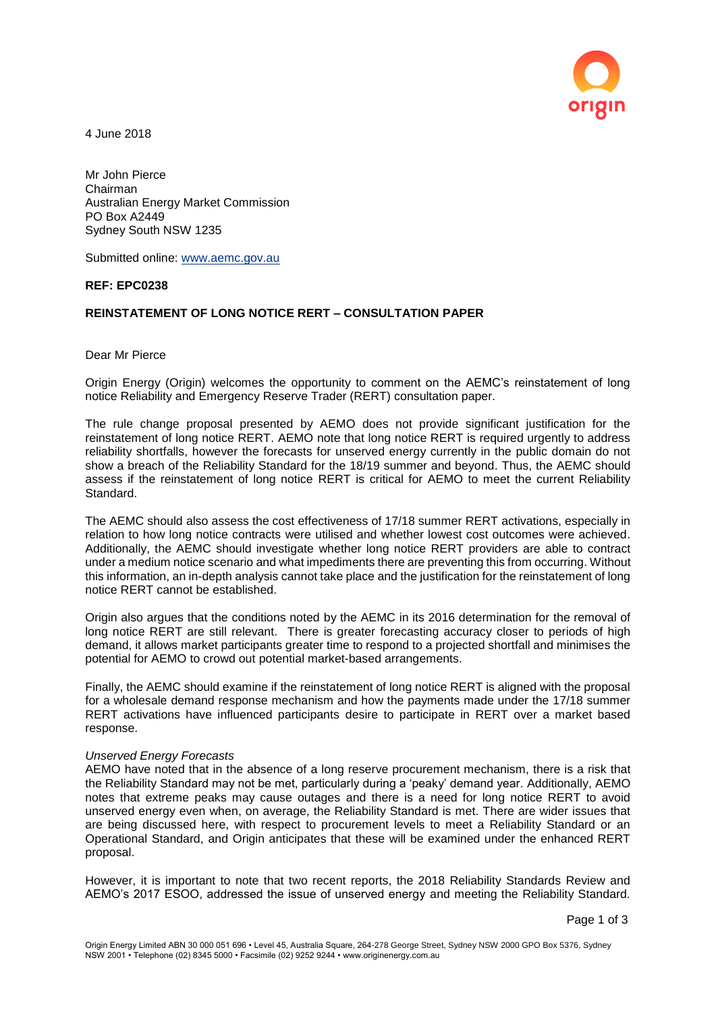

4 June 2018

Mr John Pierce Chairman Australian Energy Market Commission PO Box A2449 Sydney South NSW 1235

Submitted online: [www.aemc.gov.au](http://www.aemc.gov.au/)

## **REF: EPC0238**

# **REINSTATEMENT OF LONG NOTICE RERT – CONSULTATION PAPER**

Dear Mr Pierce

Origin Energy (Origin) welcomes the opportunity to comment on the AEMC's reinstatement of long notice Reliability and Emergency Reserve Trader (RERT) consultation paper.

The rule change proposal presented by AEMO does not provide significant justification for the reinstatement of long notice RERT. AEMO note that long notice RERT is required urgently to address reliability shortfalls, however the forecasts for unserved energy currently in the public domain do not show a breach of the Reliability Standard for the 18/19 summer and beyond. Thus, the AEMC should assess if the reinstatement of long notice RERT is critical for AEMO to meet the current Reliability Standard.

The AEMC should also assess the cost effectiveness of 17/18 summer RERT activations, especially in relation to how long notice contracts were utilised and whether lowest cost outcomes were achieved. Additionally, the AEMC should investigate whether long notice RERT providers are able to contract under a medium notice scenario and what impediments there are preventing this from occurring. Without this information, an in-depth analysis cannot take place and the justification for the reinstatement of long notice RERT cannot be established.

Origin also argues that the conditions noted by the AEMC in its 2016 determination for the removal of long notice RERT are still relevant. There is greater forecasting accuracy closer to periods of high demand, it allows market participants greater time to respond to a projected shortfall and minimises the potential for AEMO to crowd out potential market-based arrangements.

Finally, the AEMC should examine if the reinstatement of long notice RERT is aligned with the proposal for a wholesale demand response mechanism and how the payments made under the 17/18 summer RERT activations have influenced participants desire to participate in RERT over a market based response.

#### *Unserved Energy Forecasts*

AEMO have noted that in the absence of a long reserve procurement mechanism, there is a risk that the Reliability Standard may not be met, particularly during a 'peaky' demand year. Additionally, AEMO notes that extreme peaks may cause outages and there is a need for long notice RERT to avoid unserved energy even when, on average, the Reliability Standard is met. There are wider issues that are being discussed here, with respect to procurement levels to meet a Reliability Standard or an Operational Standard, and Origin anticipates that these will be examined under the enhanced RERT proposal.

However, it is important to note that two recent reports, the 2018 Reliability Standards Review and AEMO's 2017 ESOO, addressed the issue of unserved energy and meeting the Reliability Standard.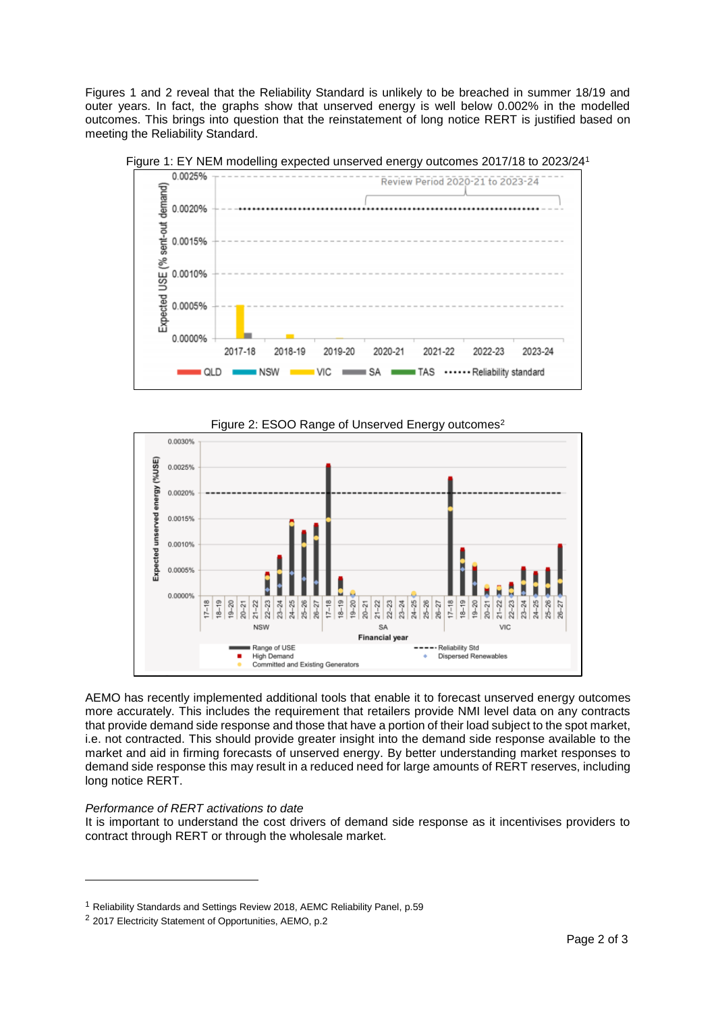Figures 1 and 2 reveal that the Reliability Standard is unlikely to be breached in summer 18/19 and outer years. In fact, the graphs show that unserved energy is well below 0.002% in the modelled outcomes. This brings into question that the reinstatement of long notice RERT is justified based on meeting the Reliability Standard.



Figure 1: EY NEM modelling expected unserved energy outcomes 2017/18 to 2023/24<sup>1</sup>





AEMO has recently implemented additional tools that enable it to forecast unserved energy outcomes more accurately. This includes the requirement that retailers provide NMI level data on any contracts that provide demand side response and those that have a portion of their load subject to the spot market, i.e. not contracted. This should provide greater insight into the demand side response available to the market and aid in firming forecasts of unserved energy. By better understanding market responses to demand side response this may result in a reduced need for large amounts of RERT reserves, including long notice RERT.

## *Performance of RERT activations to date*

l

It is important to understand the cost drivers of demand side response as it incentivises providers to contract through RERT or through the wholesale market.

<sup>1</sup> Reliability Standards and Settings Review 2018, AEMC Reliability Panel, p.59

<sup>2</sup> 2017 Electricity Statement of Opportunities, AEMO, p.2